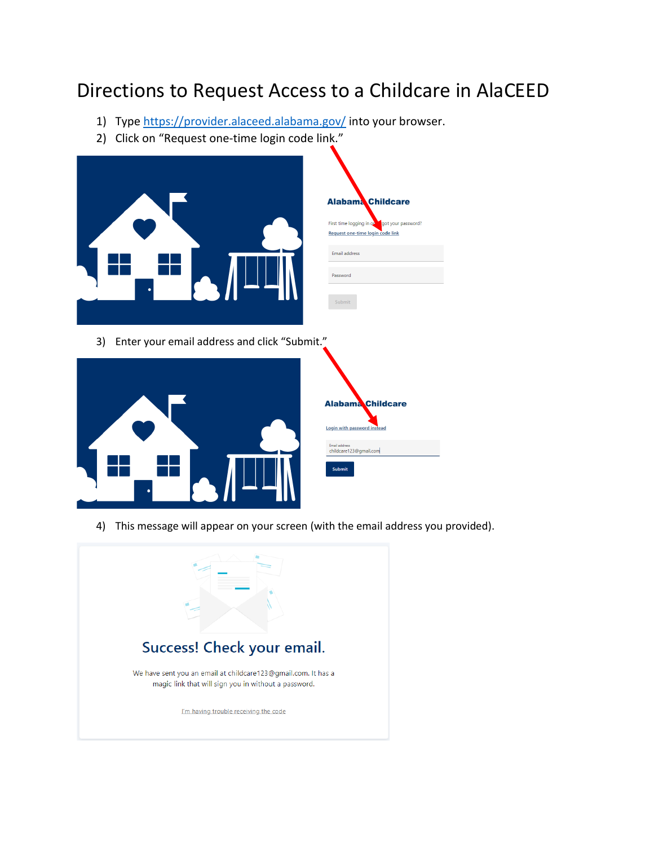## Directions to Request Access to a Childcare in AlaCEED

got your password?

- 1) Type<https://provider.alaceed.alabama.gov/> into your browser.
- 2) Click on "Request one-time login code link."



3) Enter your email address and click "Submit."



4) This message will appear on your screen (with the email address you provided).

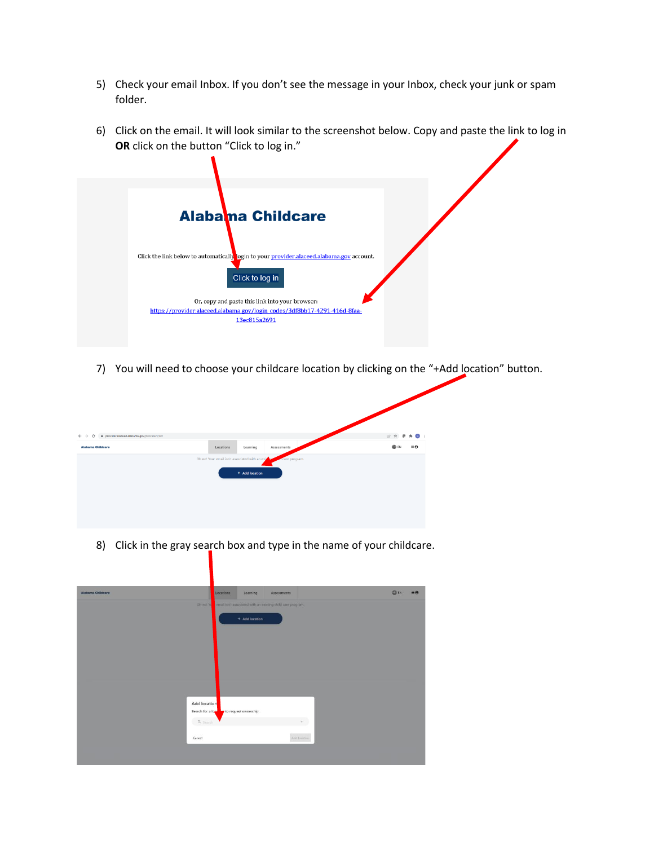- 5) Check your email Inbox. If you don't see the message in your Inbox, check your junk or spam folder.
- 6) Click on the email. It will look similar to the screenshot below. Copy and paste the link to log in **OR** click on the button "Click to log in."



7) You will need to choose your childcare location by clicking on the "+Add location" button.



8) Click in the gray search box and type in the name of your childcare.

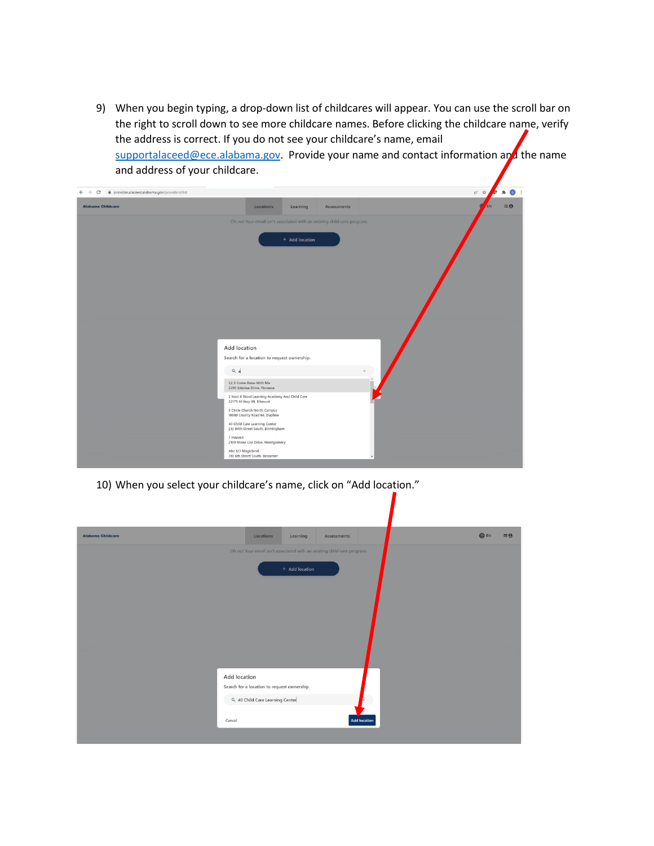9) When you begin typing, a drop-down list of childcares will appear. You can use the scroll bar on the right to scroll down to see more childcare names. Before clicking the childcare name, verify the address is correct. If you do not see your childcare's name, email [supportalaceed@ece.alabama.gov.](mailto:supportalaceed@ece.alabama.gov) Provide your name and contact information and the name and address of your childcare.

| $\leftarrow$ $\rightarrow$ C $\bullet$ provider.alaceed.alabama.gov/providers/list |                                                                            |                |             | 12 ☆<br>$\bullet$<br><b>SEP</b><br>$\mathcal{B}$ |
|------------------------------------------------------------------------------------|----------------------------------------------------------------------------|----------------|-------------|--------------------------------------------------|
| <b>Alabama Childcare</b>                                                           | Locations                                                                  | Learning       | Assessments | $\equiv$ $\theta$<br>EN                          |
|                                                                                    | Oh no! Your email isn't associated with an existing child care program.    |                |             |                                                  |
|                                                                                    |                                                                            | + Add location |             |                                                  |
|                                                                                    |                                                                            |                |             |                                                  |
|                                                                                    |                                                                            |                |             |                                                  |
|                                                                                    |                                                                            |                |             |                                                  |
|                                                                                    |                                                                            |                |             |                                                  |
|                                                                                    |                                                                            |                |             |                                                  |
|                                                                                    |                                                                            |                |             |                                                  |
|                                                                                    | Add location                                                               |                |             |                                                  |
|                                                                                    | Search for a location to request ownership.                                |                |             |                                                  |
|                                                                                    | $Q_a$                                                                      |                |             |                                                  |
|                                                                                    | 1,2,3 Come Grow With Me<br>2205 Estaline Drive, Florence                   |                |             |                                                  |
|                                                                                    | 2 Kool 4 Skool Learning Academy And Child Care<br>22175 Al Hwy 99, Elkmont |                |             |                                                  |
|                                                                                    | 3 Circle Church North Campus<br>10080 County Road 64, Daphne               |                |             |                                                  |
|                                                                                    | 40 Child Care Learning Center<br>213 84th Street South, Birmingham         |                |             |                                                  |
|                                                                                    | 7 Heaven<br>2109 Mona Lisa Drive, Montgomery                               |                |             |                                                  |
|                                                                                    | Abc 123 Magicland<br>310 6th Street South, Bessemer                        |                |             |                                                  |
|                                                                                    |                                                                            |                |             |                                                  |

10) When you select your childcare's name, click on "Add location."

| <b>Alabama Childcare</b> | Locations                                                               | Learning       | Assessments |              | <b>OD</b> EN | $\equiv \Theta$ |
|--------------------------|-------------------------------------------------------------------------|----------------|-------------|--------------|--------------|-----------------|
|                          | Oh no! Your email isn't associated with an existing child care program. |                |             |              |              |                 |
|                          |                                                                         | + Add location |             |              |              |                 |
|                          |                                                                         |                |             |              |              |                 |
|                          |                                                                         |                |             |              |              |                 |
|                          |                                                                         |                |             |              |              |                 |
|                          |                                                                         |                |             |              |              |                 |
|                          |                                                                         |                |             |              |              |                 |
|                          |                                                                         |                |             |              |              |                 |
|                          | <b>Add location</b>                                                     |                |             |              |              |                 |
|                          | Search for a location to request ownership.                             |                |             |              |              |                 |
|                          | Q 40 Child Care Learning Center                                         |                |             |              |              |                 |
|                          | Cancel                                                                  |                |             | Add location |              |                 |
|                          |                                                                         |                |             |              |              |                 |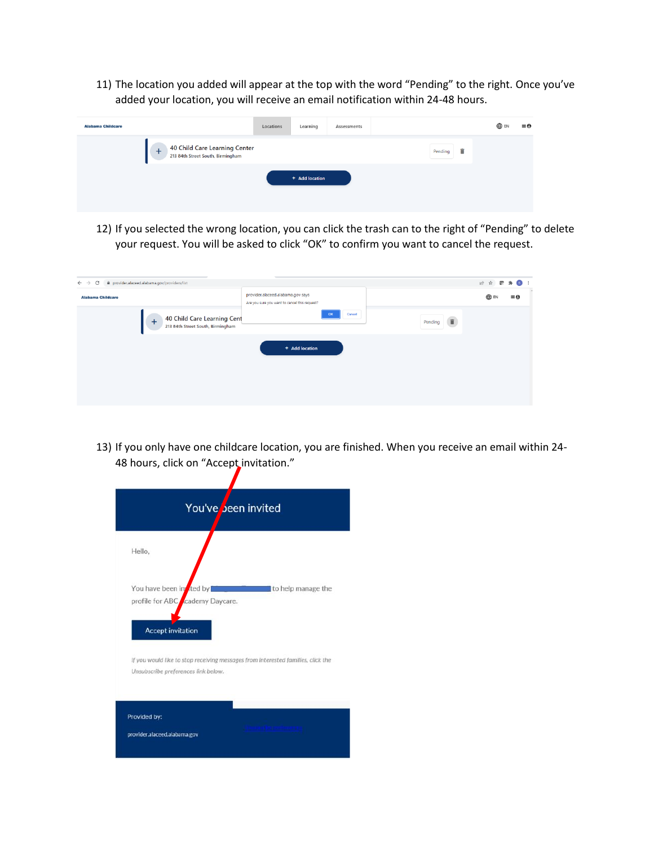11) The location you added will appear at the top with the word "Pending" to the right. Once you've added your location, you will receive an email notification within 24-48 hours.

| <b>Alabama Childcare</b> |                                                                                 | Locations | Learning       | Assessments |              | <b>OD</b> EN | $\equiv$ e |
|--------------------------|---------------------------------------------------------------------------------|-----------|----------------|-------------|--------------|--------------|------------|
|                          | 40 Child Care Learning Center<br>213 84th Street South, Birmingham<br>$\ddot{}$ |           |                |             | ÷<br>Pending |              |            |
|                          |                                                                                 |           | + Add location |             |              |              |            |
|                          |                                                                                 |           |                |             |              |              |            |

12) If you selected the wrong location, you can click the trash can to the right of "Pending" to delete your request. You will be asked to click "OK" to confirm you want to cancel the request.

| C<br>provider.alaceed.alabama.gov/providers/list<br>$\leftarrow$ $\rightarrow$ |                                                                                    |              | 2 ☆ 图 ★<br>$\left( s \right)$ : |  |
|--------------------------------------------------------------------------------|------------------------------------------------------------------------------------|--------------|---------------------------------|--|
| <b>Alabama Childcare</b>                                                       | provider.alaceed.alabama.gov says<br>Are you sure you want to cancel this request? |              | <b>DEN</b><br>$\equiv \Theta$   |  |
| 40 Child Care Learning Cent<br>$+$<br>213 84th Street South, Birmingham        | Cancel<br>OK                                                                       | î<br>Pending |                                 |  |
|                                                                                | + Add location                                                                     |              |                                 |  |

13) If you only have one childcare location, you are finished. When you receive an email within 24- 48 hours, click on "Accept invitation."

|                              | You've been invited                 |                                                                                  |
|------------------------------|-------------------------------------|----------------------------------------------------------------------------------|
|                              |                                     |                                                                                  |
|                              |                                     |                                                                                  |
| Hello,                       |                                     |                                                                                  |
|                              |                                     |                                                                                  |
|                              |                                     |                                                                                  |
| You have been in ted by      |                                     | to help manage the                                                               |
|                              | profile for ABC cademy Daycare.     |                                                                                  |
|                              |                                     |                                                                                  |
| <b>Accept invitation</b>     |                                     |                                                                                  |
|                              |                                     |                                                                                  |
|                              |                                     | If you would like to stop receiving messages from interested families, click the |
|                              | Unsubscribe preferences link below. |                                                                                  |
|                              |                                     |                                                                                  |
|                              |                                     |                                                                                  |
| Provided by:                 |                                     |                                                                                  |
|                              |                                     |                                                                                  |
| provider.alaceed.alabama.gov |                                     |                                                                                  |